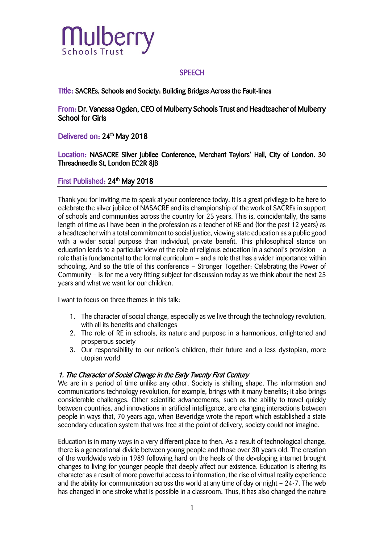

#### **SPEECH**

Title: SACREs, Schools and Society: Building Bridges Across the Fault-lines

From: Dr. Vanessa Ogden, CEO of Mulberry Schools Trust and Headteacher of Mulberry School for Girls

### Delivered on: 24<sup>th</sup> May 2018

Location: NASACRE Silver Jubilee Conference, Merchant Taylors' Hall, City of London. 30 Threadneedle St, London EC2R 8JB

### First Published: 24<sup>th</sup> May 2018

Thank you for inviting me to speak at your conference today. It is a great privilege to be here to celebrate the silver jubilee of NASACRE and its championship of the work of SACREs in support of schools and communities across the country for 25 years. This is, coincidentally, the same length of time as I have been in the profession as a teacher of RE and (for the past 12 years) as a headteacher with a total commitment to social justice, viewing state education as a public good with a wider social purpose than individual, private benefit. This philosophical stance on education leads to a particular view of the role of religious education in a school's provision – a role that is fundamental to the formal curriculum – and a role that has a wider importance within schooling. And so the title of this conference – Stronger Together: Celebrating the Power of Community – is for me a very fitting subject for discussion today as we think about the next 25 years and what we want for our children.

I want to focus on three themes in this talk:

- 1. The character of social change, especially as we live through the technology revolution, with all its benefits and challenges
- 2. The role of RE in schools, its nature and purpose in a harmonious, enlightened and prosperous society
- 3. Our responsibility to our nation's children, their future and a less dystopian, more utopian world

#### 1. The Character of Social Change in the Early Twenty First Century

We are in a period of time unlike any other. Society is shifting shape. The information and communications technology revolution, for example, brings with it many benefits; it also brings considerable challenges. Other scientific advancements, such as the ability to travel quickly between countries, and innovations in artificial intelligence, are changing interactions between people in ways that, 70 years ago, when Beveridge wrote the report which established a state secondary education system that was free at the point of delivery, society could not imagine.

Education is in many ways in a very different place to then. As a result of technological change, there is a generational divide between young people and those over 30 years old. The creation of the worldwide web in 1989 following hard on the heels of the developing internet brought changes to living for younger people that deeply affect our existence. Education is altering its character as a result of more powerful access to information, the rise of virtual reality experience and the ability for communication across the world at any time of day or night – 24-7. The web has changed in one stroke what is possible in a classroom. Thus, it has also changed the nature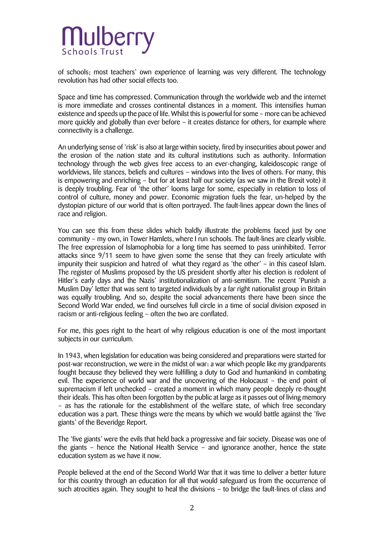of schools; most teachers' own experience of learning was very different. The technology revolution has had other social effects too.

Space and time has compressed. Communication through the worldwide web and the internet is more immediate and crosses continental distances in a moment. This intensifies human existence and speeds up the pace of life. Whilst this is powerful for some – more can be achieved more quickly and globally than ever before – it creates distance for others, for example where connectivity is a challenge.

An underlying sense of 'risk' is also at large within society, fired by insecurities about power and the erosion of the nation state and its cultural institutions such as authority. Information technology through the web gives free access to an ever-changing, kaleidoscopic range of worldviews, life stances, beliefs and cultures – windows into the lives of others. For many, this is empowering and enriching – but for at least half our society (as we saw in the Brexit vote) it is deeply troubling. Fear of 'the other' looms large for some, especially in relation to loss of control of culture, money and power. Economic migration fuels the fear, un-helped by the dystopian picture of our world that is often portrayed. The fault-lines appear down the lines of race and religion.

You can see this from these slides which baldly illustrate the problems faced just by one community – my own, in Tower Hamlets, where I run schools. The fault-lines are clearly visible. The free expression of Islamophobia for a long time has seemed to pass uninhibited. Terror attacks since 9/11 seem to have given some the sense that they can freely articulate with impunity their suspicion and hatred of what they regard as 'the other' – in this caseof Islam. The register of Muslims proposed by the US president shortly after his election is redolent of Hitler's early days and the Nazis' institutionalization of anti-semitism. The recent 'Punish a Muslim Day' letter that was sent to targeted individuals by a far right nationalist group in Britain was equally troubling. And so, despite the social advancements there have been since the Second World War ended, we find ourselves full circle in a time of social division exposed in racism or anti-religious feeling – often the two are conflated.

For me, this goes right to the heart of why religious education is one of the most important subjects in our curriculum.

In 1943, when legislation for education was being considered and preparations were started for post-war reconstruction, we were in the midst of war: a war which people like my grandparents fought because they believed they were fulfilling a duty to God and humankind in combating evil. The experience of world war and the uncovering of the Holocaust – the end point of supremacism if left unchecked – created a moment in which many people deeply re-thought their ideals. This has often been forgotten by the public at large as it passes out of living memory – as has the rationale for the establishment of the welfare state, of which free secondary education was a part. These things were the means by which we would battle against the 'five giants' of the Beveridge Report.

The 'five giants' were the evils that held back a progressive and fair society. Disease was one of the giants – hence the National Health Service – and ignorance another, hence the state education system as we have it now.

People believed at the end of the Second World War that it was time to deliver a better future for this country through an education for all that would safeguard us from the occurrence of such atrocities again. They sought to heal the divisions – to bridge the fault-lines of class and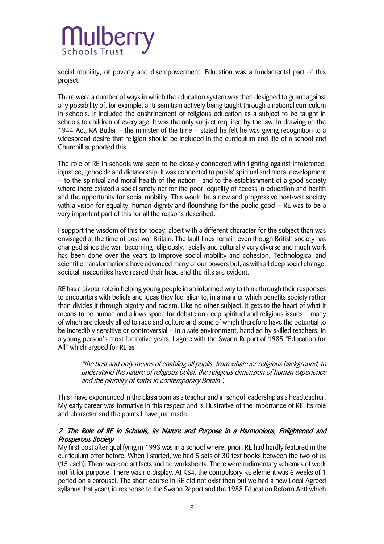social mobility, of poverty and disempowerment. Education was a fundamental part of this project.

There were a number of ways in which the education system was then designed to guard against any possibility of, for example, anti-semitism actively being taught through a national curriculum in schools. It included the enshrinement of religious education as a subject to be taught in schools to children of every age. It was the only subject required by the law. In drawing up the 1944 Act, RA Butler – the minister of the time – stated he felt he was giving recognition to a widespread desire that religion should be included in the curriculum and life of a school and Churchill supported this.

The role of RE in schools was seen to be closely connected with fighting against intolerance, injustice, genocide and dictatorship. It was connected to pupils' spiritual and moral development – to the spiritual and moral health of the nation - and to the establishment of a good society where there existed a social safety net for the poor, equality of access in education and health and the opportunity for social mobility. This would be a new and progressive post-war society with a vision for equality, human dignity and flourishing for the public good – RE was to be a very important part of this for all the reasons described.

I support the wisdom of this for today, albeit with a different character for the subject than was envisaged at the time of post-war Britain. The fault-lines remain even though British society has changed since the war, becoming religiously, racially and culturally very diverse and much work has been done over the years to improve social mobility and cohesion. Technological and scientific transformations have advanced many of our powers but, as with all deep social change, societal insecurities have reared their head and the rifts are evident.

RE has a pivotal role in helping young people in an informed way to think through their responses to encounters with beliefs and ideas they feel alien to, in a manner which benefits society rather than divides it through bigotry and racism. Like no other subject, it gets to the heart of what it means to be human and allows space for debate on deep spiritual and religious issues – many of which are closely allied to race and culture and some of which therefore have the potential to be incredibly sensitive or controversial – in a safe environment, handled by skilled teachers, in a young person's most formative years. I agree with the Swann Report of 1985 "Education for All" which argued for RE as

"the best and only means of enabling all pupils, from whatever religious background, to understand the nature of religious belief, the religious dimension of human experience and the plurality of faiths in contemporary Britain".

This I have experienced in the classroom as a teacher and in school leadership as a headteacher. My early career was formative in this respect and is illustrative of the importance of RE, its role and character and the points I have just made.

### 2. The Role of RE in Schools, its Nature and Purpose in a Harmonious, Enlightened and Prosperous Society

My first post after qualifying in 1993 was in a school where, prior, RE had hardly featured in the curriculum offer before. When I started, we had 5 sets of 30 text books between the two of us (15 each). There were no artifacts and no worksheets. There were rudimentary schemes of work not fit for purpose. There was no display. At KS4, the compulsory RE element was 6 weeks of 1 period on a carousel. The short course in RE did not exist then but we had a new Local Agreed syllabus that year ( in response to the Swann Report and the 1988 Education Reform Act) which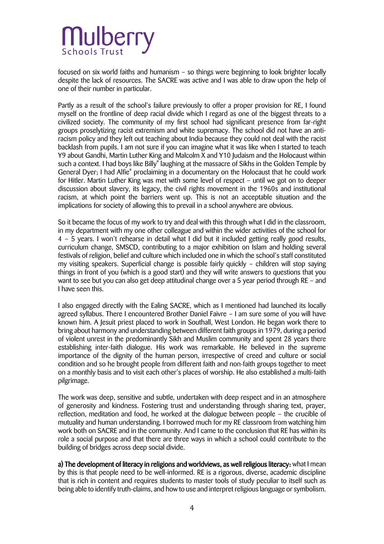focused on six world faiths and humanism – so things were beginning to look brighter locally despite the lack of resources. The SACRE was active and I was able to draw upon the help of one of their number in particular.

Partly as a result of the school's failure previously to offer a proper provision for RE, I found myself on the frontline of deep racial divide which I regard as one of the biggest threats to a civilized society. The community of my first school had significant presence from far-right groups proselytizing racist extremism and white supremacy. The school did not have an antiracism policy and they left out teaching about India because they could not deal with the racist backlash from pupils. I am not sure if you can imagine what it was like when I started to teach Y9 about Gandhi, Martin Luther King and Malcolm X and Y10 Judaism and the Holocaust within such a context. I had boys like Billy\* laughing at the massacre of Sikhs in the Golden Temple by General Dyer; I had Alfie\* proclaiming in a documentary on the Holocaust that he could work for Hitler. Martin Luther King was met with some level of respect – until we got on to deeper discussion about slavery, its legacy, the civil rights movement in the 1960s and institutional racism, at which point the barriers went up. This is not an acceptable situation and the implications for society of allowing this to prevail in a school anywhere are obvious.

So it became the focus of my work to try and deal with this through what I did in the classroom, in my department with my one other colleague and within the wider activities of the school for 4 – 5 years. I won't rehearse in detail what I did but it included getting really good results, curriculum change, SMSCD, contributing to a major exhibition on Islam and holding several festivals of religion, belief and culture which included one in which the school's staff constituted my visiting speakers. Superficial change is possible fairly quickly – children will stop saying things in front of you (which is a good start) and they will write answers to questions that you want to see but you can also get deep attitudinal change over a 5 year period through RE – and I have seen this.

I also engaged directly with the Ealing SACRE, which as I mentioned had launched its locally agreed syllabus. There I encountered Brother Daniel Faivre – I am sure some of you will have known him. A Jesuit priest placed to work in Southall, West London. He began work there to bring about harmony and understanding between different faith groups in 1979, during a period of violent unrest in the predominantly Sikh and Muslim community and spent 28 years there establishing inter-faith dialogue. His work was remarkable. He believed in the supreme importance of the dignity of the human person, irrespective of creed and culture or social condition and so he brought people from different faith and non-faith groups together to meet on a monthly basis and to visit each other's places of worship. He also established a multi-faith pilgrimage.

The work was deep, sensitive and subtle, undertaken with deep respect and in an atmosphere of generosity and kindness. Fostering trust and understanding through sharing text, prayer, reflection, meditation and food, he worked at the dialogue between people – the crucible of mutuality and human understanding. I borrowed much for my RE classroom from watching him work both on SACRE and in the community. And I came to the conclusion that RE has within its role a social purpose and that there are three ways in which a school could contribute to the building of bridges across deep social divide.

a) The development of literacy in religions and worldviews, as well religious literacy: what I mean by this is that people need to be well-informed. RE is a rigorous, diverse, academic discipline that is rich in content and requires students to master tools of study peculiar to itself such as being able to identify truth-claims, and how to use and interpret religious language or symbolism.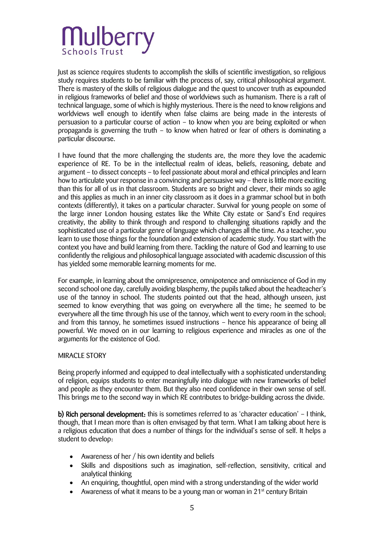Just as science requires students to accomplish the skills of scientific investigation, so religious study requires students to be familiar with the process of, say, critical philosophical argument. There is mastery of the skills of religious dialogue and the quest to uncover truth as expounded in religious frameworks of belief and those of worldviews such as humanism. There is a raft of technical language, some of which is highly mysterious. There is the need to know religions and worldviews well enough to identify when false claims are being made in the interests of persuasion to a particular course of action – to know when you are being exploited or when propaganda is governing the truth – to know when hatred or fear of others is dominating a particular discourse.

I have found that the more challenging the students are, the more they love the academic experience of RE. To be in the intellectual realm of ideas, beliefs, reasoning, debate and argument – to dissect concepts – to feel passionate about moral and ethical principles and learn how to articulate your response in a convincing and persuasive way – there is little more exciting than this for all of us in that classroom. Students are so bright and clever, their minds so agile and this applies as much in an inner city classroom as it does in a grammar school but in both contexts (differently), it takes on a particular character. Survival for young people on some of the large inner London housing estates like the White City estate or Sand's End requires creativity, the ability to think through and respond to challenging situations rapidly and the sophisticated use of a particular genre of language which changes all the time. As a teacher, you learn to use those things for the foundation and extension of academic study. You start with the context you have and build learning from there. Tackling the nature of God and learning to use confidently the religious and philosophical language associated with academic discussion of this has yielded some memorable learning moments for me.

For example, in learning about the omnipresence, omnipotence and omniscience of God in my second school one day, carefully avoiding blasphemy, the pupils talked about the headteacher's use of the tannoy in school. The students pointed out that the head, although unseen, just seemed to know everything that was going on everywhere all the time; he seemed to be everywhere all the time through his use of the tannoy, which went to every room in the school; and from this tannoy, he sometimes issued instructions – hence his appearance of being all powerful. We moved on in our learning to religious experience and miracles as one of the arguments for the existence of God.

#### MIRACLE STORY

Being properly informed and equipped to deal intellectually with a sophisticated understanding of religion, equips students to enter meaningfully into dialogue with new frameworks of belief and people as they encounter them. But they also need confidence in their own sense of self. This brings me to the second way in which RE contributes to bridge-building across the divide.

b) Rich personal development: this is sometimes referred to as 'character education' – I think, though, that I mean more than is often envisaged by that term. What I am talking about here is a religious education that does a number of things for the individual's sense of self. It helps a student to develop:

- Awareness of her / his own identity and beliefs
- Skills and dispositions such as imagination, self-reflection, sensitivity, critical and analytical thinking
- An enquiring, thoughtful, open mind with a strong understanding of the wider world
- Awareness of what it means to be a young man or woman in 21<sup>st</sup> century Britain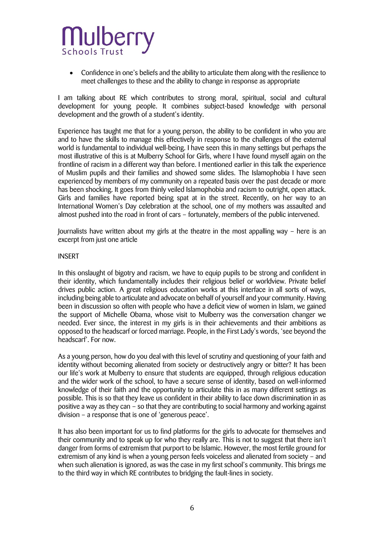Confidence in one's beliefs and the ability to articulate them along with the resilience to meet challenges to these and the ability to change in response as appropriate

I am talking about RE which contributes to strong moral, spiritual, social and cultural development for young people. It combines subject-based knowledge with personal development and the growth of a student's identity.

Experience has taught me that for a young person, the ability to be confident in who you are and to have the skills to manage this effectively in response to the challenges of the external world is fundamental to individual well-being. I have seen this in many settings but perhaps the most illustrative of this is at Mulberry School for Girls, where I have found myself again on the frontline of racism in a different way than before. I mentioned earlier in this talk the experience of Muslim pupils and their families and showed some slides. The Islamophobia I have seen experienced by members of my community on a repeated basis over the past decade or more has been shocking. It goes from thinly veiled Islamophobia and racism to outright, open attack. Girls and families have reported being spat at in the street. Recently, on her way to an International Women's Day celebration at the school, one of my mothers was assaulted and almost pushed into the road in front of cars – fortunately, members of the public intervened.

Journalists have written about my girls at the theatre in the most appalling way – here is an excerpt from just one article

#### INSERT

In this onslaught of bigotry and racism, we have to equip pupils to be strong and confident in their identity, which fundamentally includes their religious belief or worldview. Private belief drives public action. A great religious education works at this interface in all sorts of ways, including being able to articulate and advocate on behalf of yourself and your community. Having been in discussion so often with people who have a deficit view of women in Islam, we gained the support of Michelle Obama, whose visit to Mulberry was the conversation changer we needed. Ever since, the interest in my girls is in their achievements and their ambitions as opposed to the headscarf or forced marriage. People, in the First Lady's words, 'see beyond the headscarf'. For now.

As a young person, how do you deal with this level of scrutiny and questioning of your faith and identity without becoming alienated from society or destructively angry or bitter? It has been our life's work at Mulberry to ensure that students are equipped, through religious education and the wider work of the school, to have a secure sense of identity, based on well-informed knowledge of their faith and the opportunity to articulate this in as many different settings as possible. This is so that they leave us confident in their ability to face down discrimination in as positive a way as they can – so that they are contributing to social harmony and working against division – a response that is one of 'generous peace'.

It has also been important for us to find platforms for the girls to advocate for themselves and their community and to speak up for who they really are. This is not to suggest that there isn't danger from forms of extremism that purport to be Islamic. However, the most fertile ground for extremism of any kind is when a young person feels voiceless and alienated from society – and when such alienation is ignored, as was the case in my first school's community. This brings me to the third way in which RE contributes to bridging the fault-lines in society.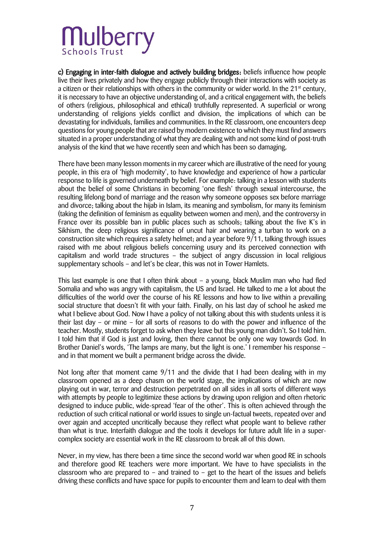c) Engaging in inter-faith dialogue and actively building bridges: beliefs influence how people live their lives privately and how they engage publicly through their interactions with society as a citizen or their relationships with others in the community or wider world. In the  $21<sup>st</sup>$  century, it is necessary to have an objective understanding of, and a critical engagement with, the beliefs of others (religious, philosophical and ethical) truthfully represented. A superficial or wrong understanding of religions yields conflict and division, the implications of which can be devastating for individuals, families and communities. In the RE classroom, one encounters deep questions for young people that are raised by modern existence to which they must find answers situated in a proper understanding of what they are dealing with and not some kind of post-truth analysis of the kind that we have recently seen and which has been so damaging.

There have been many lesson moments in my career which are illustrative of the need for young people, in this era of 'high modernity', to have knowledge and experience of how a particular response to life is governed underneath by belief. For example: talking in a lesson with students about the belief of some Christians in becoming 'one flesh' through sexual intercourse, the resulting lifelong bond of marriage and the reason why someone opposes sex before marriage and divorce; talking about the hijab in Islam, its meaning and symbolism, for many its feminism (taking the definition of feminism as equality between women and men), and the controversy in France over its possible ban in public places such as schools; talking about the five K's in Sikhism, the deep religious significance of uncut hair and wearing a turban to work on a construction site which requires a safety helmet; and a year before 9/11, talking through issues raised with me about religious beliefs concerning usury and its perceived connection with capitalism and world trade structures – the subject of angry discussion in local religious supplementary schools – and let's be clear, this was not in Tower Hamlets.

This last example is one that I often think about – a young, black Muslim man who had fled Somalia and who was angry with capitalism, the US and Israel. He talked to me a lot about the difficulties of the world over the course of his RE lessons and how to live within a prevailing social structure that doesn't fit with your faith. Finally, on his last day of school he asked me what I believe about God. Now I have a policy of not talking about this with students unless it is their last day – or mine – for all sorts of reasons to do with the power and influence of the teacher. Mostly, students forget to ask when they leave but this young man didn't. So I told him. I told him that if God is just and loving, then there cannot be only one way towards God. In Brother Daniel's words, 'The lamps are many, but the light is one.' I remember his response – and in that moment we built a permanent bridge across the divide.

Not long after that moment came 9/11 and the divide that I had been dealing with in my classroom opened as a deep chasm on the world stage, the implications of which are now playing out in war, terror and destruction perpetrated on all sides in all sorts of different ways with attempts by people to legitimize these actions by drawing upon religion and often rhetoric designed to induce public, wide-spread 'fear of the other'. This is often achieved through the reduction of such critical national or world issues to single un-factual tweets, repeated over and over again and accepted uncritically because they reflect what people want to believe rather than what is true. Interfaith dialogue and the tools it develops for future adult life in a supercomplex society are essential work in the RE classroom to break all of this down.

Never, in my view, has there been a time since the second world war when good RE in schools and therefore good RE teachers were more important. We have to have specialists in the classroom who are prepared to  $-$  and trained to  $-$  get to the heart of the issues and beliefs driving these conflicts and have space for pupils to encounter them and learn to deal with them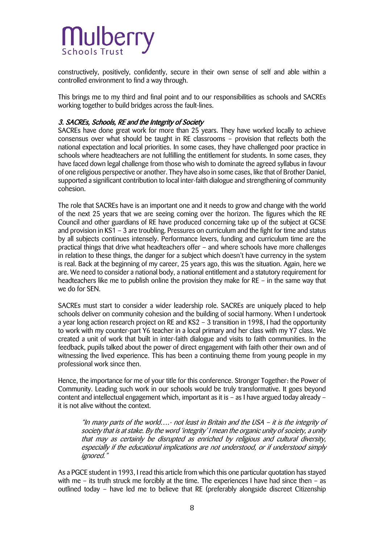

constructively, positively, confidently, secure in their own sense of self and able within a controlled environment to find a way through.

This brings me to my third and final point and to our responsibilities as schools and SACREs working together to build bridges across the fault-lines.

#### 3. SACREs, Schools, RE and the Integrity of Society

SACREs have done great work for more than 25 years. They have worked locally to achieve consensus over what should be taught in RE classrooms – provision that reflects both the national expectation and local priorities. In some cases, they have challenged poor practice in schools where headteachers are not fulfilling the entitlement for students. In some cases, they have faced down legal challenge from those who wish to dominate the agreed syllabus in favour of one religious perspective or another. They have also in some cases, like that of Brother Daniel, supported a significant contribution to local inter-faith dialogue and strengthening of community cohesion.

The role that SACREs have is an important one and it needs to grow and change with the world of the next 25 years that we are seeing coming over the horizon. The figures which the RE Council and other guardians of RE have produced concerning take up of the subject at GCSE and provision in KS1 – 3 are troubling. Pressures on curriculum and the fight for time and status by all subjects continues intensely. Performance levers, funding and curriculum time are the practical things that drive what headteachers offer – and where schools have more challenges in relation to these things, the danger for a subject which doesn't have currency in the system is real. Back at the beginning of my career, 25 years ago, this was the situation. Again, here we are. We need to consider a national body, a national entitlement and a statutory requirement for headteachers like me to publish online the provision they make for RE – in the same way that we do for SEN.

SACREs must start to consider a wider leadership role. SACREs are uniquely placed to help schools deliver on community cohesion and the building of social harmony. When I undertook a year long action research project on RE and KS2 – 3 transition in 1998, I had the opportunity to work with my counter-part Y6 teacher in a local primary and her class with my Y7 class. We created a unit of work that built in inter-faith dialogue and visits to faith communities. In the feedback, pupils talked about the power of direct engagement with faith other their own and of witnessing the lived experience. This has been a continuing theme from young people in my professional work since then.

Hence, the importance for me of your title for this conference. Stronger Together: the Power of Community. Leading such work in our schools would be truly transformative. It goes beyond content and intellectual engagement which, important as it is – as I have argued today already – it is not alive without the context.

"In many parts of the world….- not least in Britain and the USA – it is the integrity of society that is at stake. By the word 'integrity' I mean the organic unity of society, a unity that may as certainly be disrupted as enriched by religious and cultural diversity, especially if the educational implications are not understood, or if understood simply ignored."

As a PGCE student in 1993, I read this article from which this one particular quotation has stayed with me – its truth struck me forcibly at the time. The experiences I have had since then – as outlined today – have led me to believe that RE (preferably alongside discreet Citizenship